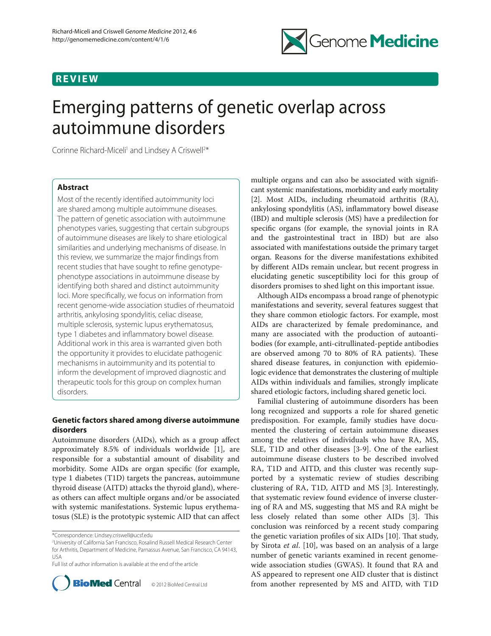# Genome Medicine

### **REVIEW**

## Emerging patterns of genetic overlap across autoimmune disorders

Corinne Richard-Miceli<sup>1</sup> and Lindsey A Criswell<sup>2\*</sup>

#### **Abstract**

Most of the recently identified autoimmunity loci are shared among multiple autoimmune diseases. The pattern of genetic association with autoimmune phenotypes varies, suggesting that certain subgroups of autoimmune diseases are likely to share etiological similarities and underlying mechanisms of disease. In this review, we summarize the major findings from recent studies that have sought to refine genotypephenotype associations in autoimmune disease by identifying both shared and distinct autoimmunity loci. More specifically, we focus on information from recent genome-wide association studies of rheumatoid arthritis, ankylosing spondylitis, celiac disease, multiple sclerosis, systemic lupus erythematosus, type 1 diabetes and inflammatory bowel disease. Additional work in this area is warranted given both the opportunity it provides to elucidate pathogenic mechanisms in autoimmunity and its potential to inform the development of improved diagnostic and therapeutic tools for this group on complex human disorders.

#### **Genetic factors shared among diverse autoimmune disorders**

Autoimmune disorders (AIDs), which as a group affect approximately 8.5% of individuals worldwide [1], are responsible for a substantial amount of disability and morbidity. Some AIDs are organ specific (for example, type 1 diabetes (T1D) targets the pancreas, autoimmune thyroid disease (AITD) attacks the thyroid gland), whereas others can affect multiple organs and/or be associated with systemic manifestations. Systemic lupus erythematosus (SLE) is the prototypic systemic AID that can affect

Full list of author information is available at the end of the article



multiple organs and can also be associated with significant systemic manifestations, morbidity and early mortality [2]. Most AIDs, including rheumatoid arthritis (RA), ankylosing spondylitis (AS), inflammatory bowel disease (IBD) and multiple sclerosis (MS) have a predilection for specific organs (for example, the synovial joints in RA and the gastrointestinal tract in IBD) but are also associated with manifestations outside the primary target organ. Reasons for the diverse manifestations exhibited by different AIDs remain unclear, but recent progress in elucidating genetic susceptibility loci for this group of disorders promises to shed light on this important issue.

Although AIDs encompass a broad range of phenotypic manifestations and severity, several features suggest that they share common etiologic factors. For example, most AIDs are characterized by female predominance, and many are associated with the production of autoantibodies (for example, anti-citrullinated-peptide antibodies are observed among  $70$  to  $80\%$  of RA patients). These shared disease features, in conjunction with epidemiologic evidence that demonstrates the clustering of multiple AIDs within individuals and families, strongly implicate shared etiologic factors, including shared genetic loci.

Familial clustering of autoimmune disorders has been long recognized and supports a role for shared genetic predisposition. For example, family studies have documented the clustering of certain autoimmune diseases among the relatives of individuals who have RA, MS, SLE, T1D and other diseases [3-9]. One of the earliest autoimmune disease clusters to be described involved RA, T1D and AITD, and this cluster was recently supported by a systematic review of studies describing clustering of RA, T1D, AITD and MS [3]. Interestingly, that systematic review found evidence of inverse clustering of RA and MS, suggesting that MS and RA might be less closely related than some other AIDs [3]. This conclusion was reinforced by a recent study comparing the genetic variation profiles of six AIDs [10]. That study, by Sirota *et al*. [10], was based on an analysis of a large number of genetic variants examined in recent genomewide association studies (GWAS). It found that RA and AS appeared to represent one AID cluster that is distinct from another represented by MS and AITD, with T1D

<sup>\*</sup>Correspondence: Lindsey.criswell@ucsf.edu

<sup>2</sup> University of California San Francisco, Rosalind Russell Medical Research Center for Arthritis, Department of Medicine, Parnassus Avenue, San Francisco, CA 94143, USA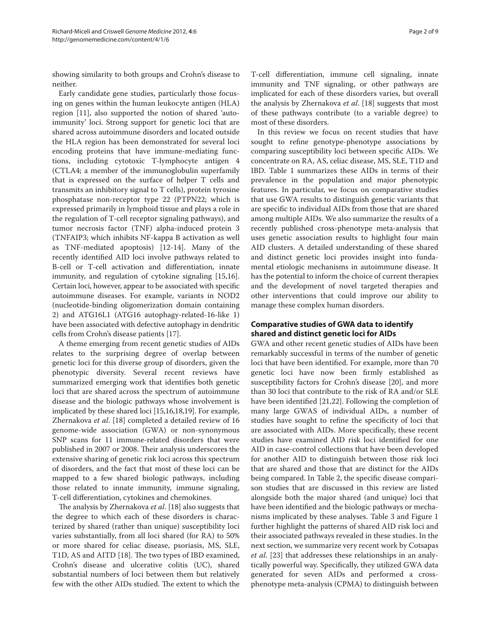showing similarity to both groups and Crohn's disease to neither.

Early candidate gene studies, particularly those focusing on genes within the human leukocyte antigen (HLA) region [11], also supported the notion of shared 'autoimmunity' loci. Strong support for genetic loci that are shared across autoimmune disorders and located outside the HLA region has been demonstrated for several loci encoding proteins that have immune-mediating functions, including cytotoxic T-lymphocyte antigen 4 (CTLA4; a member of the immunoglobulin superfamily that is expressed on the surface of helper T cells and transmits an inhibitory signal to T cells), protein tyrosine phosphatase non-receptor type 22 (PTPN22; which is expressed primarily in lymphoid tissue and plays a role in the regulation of T-cell receptor signaling pathways), and tumor necrosis factor (TNF) alpha-induced protein 3 (TNFAIP3; which inhibits NF-kappa B activation as well as TNF-mediated apoptosis) [12-14]. Many of the recently identified AID loci involve pathways related to B-cell or T-cell activation and differentiation, innate immunity, and regulation of cytokine signaling [15,16]. Certain loci, however, appear to be associated with specific autoimmune diseases. For example, variants in NOD2 (nucleotide-binding oligomerization domain containing 2) and ATG16L1 (ATG16 autophagy-related-16-like 1) have been associated with defective autophagy in dendritic cells from Crohn's disease patients [17].

A theme emerging from recent genetic studies of AIDs relates to the surprising degree of overlap between genetic loci for this diverse group of disorders, given the phenotypic diversity. Several recent reviews have summarized emerging work that identifies both genetic loci that are shared across the spectrum of autoimmune disease and the biologic pathways whose involvement is implicated by these shared loci [15,16,18,19]. For example, Zhernakova *et al*. [18] completed a detailed review of 16 genome-wide association (GWA) or non-synonymous SNP scans for 11 immune-related disorders that were published in 2007 or 2008. Their analysis underscores the extensive sharing of genetic risk loci across this spectrum of disorders, and the fact that most of these loci can be mapped to a few shared biologic pathways, including those related to innate immunity, immune signaling, T-cell differentiation, cytokines and chemokines.

The analysis by Zhernakova *et al*. [18] also suggests that the degree to which each of these disorders is characterized by shared (rather than unique) susceptibility loci varies substantially, from all loci shared (for RA) to 50% or more shared for celiac disease, psoriasis, MS, SLE, T1D, AS and AITD [18]. The two types of IBD examined, Crohn's disease and ulcerative colitis (UC), shared substantial numbers of loci between them but relatively few with the other AIDs studied. The extent to which the

T-cell differentiation, immune cell signaling, innate immunity and TNF signaling, or other pathways are implicated for each of these disorders varies, but overall the analysis by Zhernakova *et al*. [18] suggests that most of these pathways contribute (to a variable degree) to most of these disorders.

In this review we focus on recent studies that have sought to refine genotype-phenotype associations by comparing susceptibility loci between specific AIDs. We concentrate on RA, AS, celiac disease, MS, SLE, T1D and IBD. Table 1 summarizes these AIDs in terms of their prevalence in the population and major phenotypic features. In particular, we focus on comparative studies that use GWA results to distinguish genetic variants that are specific to individual AIDs from those that are shared among multiple AIDs. We also summarize the results of a recently published cross-phenotype meta-analysis that uses genetic association results to highlight four main AID clusters. A detailed understanding of these shared and distinct genetic loci provides insight into fundamental etiologic mechanisms in autoimmune disease. It has the potential to inform the choice of current therapies and the development of novel targeted therapies and other interventions that could improve our ability to manage these complex human disorders.

#### **Comparative studies of GWA data to identify shared and distinct genetic loci for AIDs**

GWA and other recent genetic studies of AIDs have been remarkably successful in terms of the number of genetic loci that have been identified. For example, more than 70 genetic loci have now been firmly established as susceptibility factors for Crohn's disease [20], and more than 30 loci that contribute to the risk of RA and/or SLE have been identified [21,22]. Following the completion of many large GWAS of individual AIDs, a number of studies have sought to refine the specificity of loci that are associated with AIDs. More specifically, these recent studies have examined AID risk loci identified for one AID in case-control collections that have been developed for another AID to distinguish between those risk loci that are shared and those that are distinct for the AIDs being compared. In Table 2, the specific disease comparison studies that are discussed in this review are listed alongside both the major shared (and unique) loci that have been identified and the biologic pathways or mechanisms implicated by these analyses. Table 3 and Figure 1 further highlight the patterns of shared AID risk loci and their associated pathways revealed in these studies. In the next section, we summarize very recent work by Cotsapas *et al*. [23] that addresses these relationships in an analytically powerful way. Specifically, they utilized GWA data generated for seven AIDs and performed a crossphenotype meta-analysis (CPMA) to distinguish between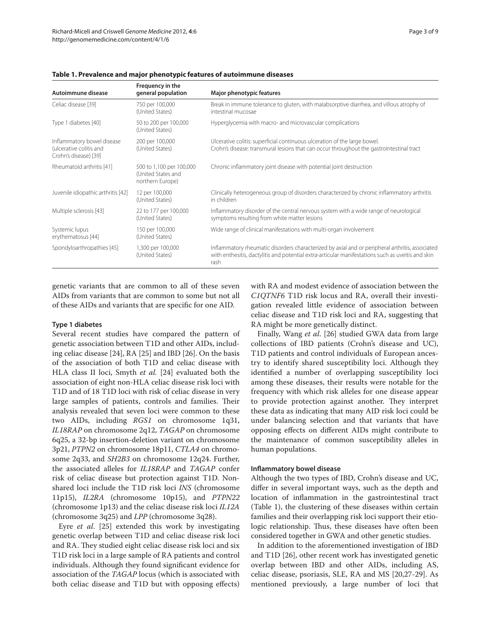| Autoimmune disease                                                             | Frequency in the<br>general population                             | Major phenotypic features                                                                                                                                                                                    |
|--------------------------------------------------------------------------------|--------------------------------------------------------------------|--------------------------------------------------------------------------------------------------------------------------------------------------------------------------------------------------------------|
| Celiac disease [39]                                                            | 750 per 100,000<br>(United States)                                 | Break in immune tolerance to gluten, with malabsorptive diarrhea, and villous atrophy of<br>intestinal mucosae                                                                                               |
| Type 1 diabetes [40]                                                           | 50 to 200 per 100,000<br>(United States)                           | Hyperglycemia with macro- and microvascular complications                                                                                                                                                    |
| Inflammatory bowel disease<br>(ulcerative colitis and<br>Crohn's disease) [39] | 200 per 100,000<br>(United States)                                 | Ulcerative colitis: superficial continuous ulceration of the large bowel.<br>Crohn's disease: transmural lesions that can occur throughout the gastrointestinal tract                                        |
| Rheumatoid arthritis [41]                                                      | 500 to 1,100 per 100,000<br>(United States and<br>northern Europe) | Chronic inflammatory joint disease with potential joint destruction                                                                                                                                          |
| Juvenile idiopathic arthritis [42]                                             | 12 per 100,000<br>(United States)                                  | Clinically heterogeneous group of disorders characterized by chronic inflammatory arthritis<br>in children                                                                                                   |
| Multiple sclerosis [43]                                                        | 22 to 177 per 100,000<br>(United States)                           | Inflammatory disorder of the central nervous system with a wide range of neurological<br>symptoms resulting from white matter lesions                                                                        |
| Systemic lupus<br>erythematosus [44]                                           | 150 per 100,000<br>(United States)                                 | Wide range of clinical manifestations with multi-organ involvement                                                                                                                                           |
| Spondyloarthropathies [45]                                                     | 1,300 per 100,000<br>(United States)                               | Inflammatory rheumatic disorders characterized by axial and or peripheral arthritis, associated<br>with enthesitis, dactylitis and potential extra-articular manifestations such as uveitis and skin<br>rash |

**Table 1. Prevalence and major phenotypic features of autoimmune diseases** 

genetic variants that are common to all of these seven AIDs from variants that are common to some but not all of these AIDs and variants that are specific for one AID.

#### **Type 1 diabetes**

Several recent studies have compared the pattern of genetic association between T1D and other AIDs, including celiac disease [24], RA [25] and IBD [26]. On the basis of the association of both T1D and celiac disease with HLA class II loci, Smyth *et al.* [24] evaluated both the association of eight non-HLA celiac disease risk loci with T1D and of 18 T1D loci with risk of celiac disease in very large samples of patients, controls and families. Their analysis revealed that seven loci were common to these two AIDs, including *RGS1* on chromosome 1q31, *IL18RAP* on chromosome 2q12, *TAGAP* on chromosome 6q25, a 32-bp insertion-deletion variant on chromosome 3p21, *PTPN2* on chromosome 18p11, *CTLA4* on chromosome 2q33, and *SH2B3* on chromosome 12q24. Further, the associated alleles for *IL18RAP* and *TAGAP* confer risk of celiac disease but protection against T1D. Nonshared loci include the T1D risk loci *INS* (chromosome 11p15), *IL2RA* (chromosome 10p15), and *PTPN22* (chromosome 1p13) and the celiac disease risk loci *IL12A* (chromosome 3q25) and *LPP* (chromosome 3q28).

Eyre *et al*. [25] extended this work by investigating genetic overlap between T1D and celiac disease risk loci and RA. They studied eight celiac disease risk loci and six T1D risk loci in a large sample of RA patients and control individuals. Although they found significant evidence for association of the *TAGAP* locus (which is associated with both celiac disease and T1D but with opposing effects) with RA and modest evidence of association between the *C1QTNF6* T1D risk locus and RA, overall their investigation revealed little evidence of association between celiac disease and T1D risk loci and RA, suggesting that RA might be more genetically distinct.

Finally, Wang *et al*. [26] studied GWA data from large collections of IBD patients (Crohn's disease and UC), T1D patients and control individuals of European ancestry to identify shared susceptibility loci. Although they identified a number of overlapping susceptibility loci among these diseases, their results were notable for the frequency with which risk alleles for one disease appear to provide protection against another. They interpret these data as indicating that many AID risk loci could be under balancing selection and that variants that have opposing effects on different AIDs might contribute to the maintenance of common susceptibility alleles in human populations.

#### **Inflammatory bowel disease**

Although the two types of IBD, Crohn's disease and UC, differ in several important ways, such as the depth and location of inflammation in the gastrointestinal tract (Table 1), the clustering of these diseases within certain families and their overlapping risk loci support their etiologic relationship. Thus, these diseases have often been considered together in GWA and other genetic studies.

In addition to the aforementioned investigation of IBD and T1D [26], other recent work has investigated genetic overlap between IBD and other AIDs, including AS, celiac disease, psoriasis, SLE, RA and MS [20,27-29]. As mentioned previously, a large number of loci that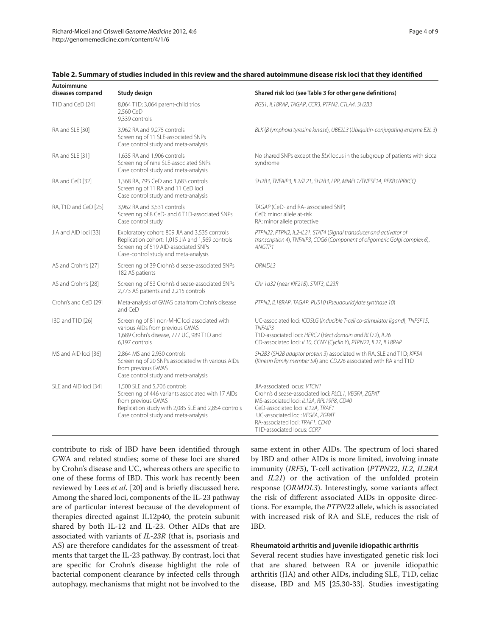| Autoimmune<br>diseases compared | Study design                                                                                                                                                                                           | Shared risk loci (see Table 3 for other gene definitions)                                                                                                                                                                                                                 |
|---------------------------------|--------------------------------------------------------------------------------------------------------------------------------------------------------------------------------------------------------|---------------------------------------------------------------------------------------------------------------------------------------------------------------------------------------------------------------------------------------------------------------------------|
| T1D and CeD [24]                | 8,064 T1D; 3,064 parent-child trios<br>2,560 CeD<br>9,339 controls                                                                                                                                     | RGS1, IL18RAP, TAGAP, CCR3, PTPN2, CTLA4, SH2B3                                                                                                                                                                                                                           |
| RA and SLE [30]                 | 3,962 RA and 9,275 controls<br>Screening of 11 SLE-associated SNPs<br>Case control study and meta-analysis                                                                                             | BLK (B lymphoid tyrosine kinase), UBE2L3 (Ubiquitin-conjugating enzyme E2L 3)                                                                                                                                                                                             |
| RA and SLE [31]                 | 1,635 RA and 1,906 controls<br>Screening of nine SLE-associated SNPs<br>Case control study and meta-analysis                                                                                           | No shared SNPs except the BLK locus in the subgroup of patients with sicca<br>syndrome                                                                                                                                                                                    |
| RA and CeD [32]                 | 1,368 RA, 795 CeD and 1,683 controls<br>Screening of 11 RA and 11 CeD loci<br>Case control study and meta-analysis                                                                                     | SH2B3, TNFAIP3, IL2/IL21, SH2B3, LPP, MMEL1/TNFSF14, PFKB3/PRKCQ                                                                                                                                                                                                          |
| RA, T1D and CeD [25]            | 3,962 RA and 3,531 controls<br>Screening of 8 CeD- and 6 T1D-associated SNPs<br>Case control study                                                                                                     | TAGAP (CeD- and RA- associated SNP)<br>CeD: minor allele at-risk<br>RA: minor allele protective                                                                                                                                                                           |
| JIA and AID loci [33]           | Exploratory cohort: 809 JIA and 3,535 controls<br>Replication cohort: 1,015 JIA and 1,569 controls<br>Screening of 519 AID-associated SNPs<br>Case-control study and meta-analysis                     | PTPN22, PTPN2, IL2-IL21, STAT4 (Signal transducer and activator of<br>transcription 4), TNFAIP3, COG6 (Component of oligomeric Golgi complex 6),<br>ANGTP1                                                                                                                |
| AS and Crohn's [27]             | Screening of 39 Crohn's disease-associated SNPs<br>182 AS patients                                                                                                                                     | ORMDL3                                                                                                                                                                                                                                                                    |
| AS and Crohn's [28]             | Screening of 53 Crohn's disease-associated SNPs<br>2,773 AS patients and 2,215 controls                                                                                                                | Chr 1g32 (near KIF21B), STAT3, IL23R                                                                                                                                                                                                                                      |
| Crohn's and CeD [29]            | Meta-analysis of GWAS data from Crohn's disease<br>and CeD                                                                                                                                             | PTPN2, IL18RAP, TAGAP, PUS10 (Pseudouridylate synthase 10)                                                                                                                                                                                                                |
| IBD and T1D [26]                | Screening of 81 non-MHC loci associated with<br>various AIDs from previous GWAS<br>1,689 Crohn's disease, 777 UC, 989 T1D and<br>6.197 controls                                                        | UC-associated loci: ICOSLG (Inducible T-cell co-stimulator ligand), TNFSF15,<br>TNFAIP3<br>T1D-associated loci: HERC2 (Hect domain and RLD 2), IL26<br>CD-associated loci: IL10, CCNY (Cyclin Y), PTPN22, IL27, IL18RAP                                                   |
| MS and AID loci [36]            | 2,864 MS and 2,930 controls<br>Screening of 20 SNPs associated with various AIDs<br>from previous GWAS<br>Case control study and meta-analysis                                                         | SH2B3 (SH2B adaptor protein 3) associated with RA, SLE and T1D; KIF5A<br>(Kinesin family member 5A) and CD226 associated with RA and T1D                                                                                                                                  |
| SLE and AID loci [34]           | 1,500 SLE and 5,706 controls<br>Screening of 446 variants associated with 17 AIDs<br>from previous GWAS<br>Replication study with 2,085 SLE and 2,854 controls<br>Case control study and meta-analysis | JIA-associated locus: VTCN1<br>Crohn's disease-associated loci: PLCL1, VEGFA, ZGPAT<br>MS-associated loci: IL12A, RPL19P8, CD40<br>CeD-associated loci: IL12A, TRAF1<br>UC-associated loci: VEGFA, ZGPAT<br>RA-associated loci: TRAF1, CD40<br>T1D-associated locus: CCR7 |

#### **Table 2. Summary of studies included in this review and the shared autoimmune disease risk loci that they identified**

contribute to risk of IBD have been identified through GWA and related studies; some of these loci are shared by Crohn's disease and UC, whereas others are specific to one of these forms of IBD. This work has recently been reviewed by Lees *et al*. [20] and is briefly discussed here. Among the shared loci, components of the IL-23 pathway are of particular interest because of the development of therapies directed against IL12p40, the protein subunit shared by both IL-12 and IL-23. Other AIDs that are associated with variants of *IL-23R* (that is, psoriasis and AS) are therefore candidates for the assessment of treatments that target the IL-23 pathway. By contrast, loci that are specific for Crohn's disease highlight the role of bacterial component clearance by infected cells through autophagy, mechanisms that might not be involved to the same extent in other AIDs. The spectrum of loci shared by IBD and other AIDs is more limited, involving innate immunity (*IRF5*), T-cell activation (*PTPN22*, *IL2*, *IL2RA* and *IL21*) or the activation of the unfolded protein response (*ORMDL3*). Interestingly, some variants affect the risk of different associated AIDs in opposite directions. For example, the *PTPN22* allele, which is associated with increased risk of RA and SLE, reduces the risk of IBD.

#### **Rheumatoid arthritis and juvenile idiopathic arthritis**

Several recent studies have investigated genetic risk loci that are shared between RA or juvenile idiopathic arthritis (JIA) and other AIDs, including SLE, T1D, celiac disease, IBD and MS [25,30-33]. Studies investigating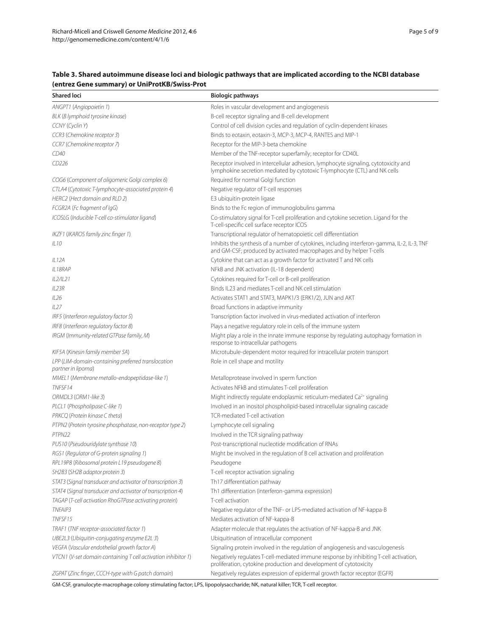#### **Table 3. Shared autoimmune disease loci and biologic pathways that are implicated according to the NCBI database (entrez Gene summary) or UniProtKB/Swiss-Prot**

| <b>Shared loci</b>                                                       | <b>Biologic pathways</b>                                                                                                                                            |
|--------------------------------------------------------------------------|---------------------------------------------------------------------------------------------------------------------------------------------------------------------|
| ANGPT1 (Angiopoietin 1)                                                  | Roles in vascular development and angiogenesis                                                                                                                      |
| BLK (B lymphoid tyrosine kinase)                                         | B-cell receptor signaling and B-cell development                                                                                                                    |
| CCNY (Cyclin Y)                                                          | Control of cell division cycles and regulation of cyclin-dependent kinases                                                                                          |
| CCR3 (Chemokine receptor 3)                                              | Binds to eotaxin, eotaxin-3, MCP-3, MCP-4, RANTES and MIP-1                                                                                                         |
| CCR7 (Chemokine receptor 7)                                              | Receptor for the MIP-3-beta chemokine                                                                                                                               |
| CD40                                                                     | Member of the TNF-receptor superfamily; receptor for CD40L                                                                                                          |
| CD226                                                                    | Receptor involved in intercellular adhesion, lymphocyte signaling, cytotoxicity and<br>lymphokine secretion mediated by cytotoxic T-lymphocyte (CTL) and NK cells   |
| COG6 (Component of oligomeric Golgi complex 6)                           | Required for normal Golgi function                                                                                                                                  |
| CTLA4 (Cytotoxic T-lymphocyte-associated protein 4)                      | Negative regulator of T-cell responses                                                                                                                              |
| HERC2 (Hect domain and RLD 2)                                            | E3 ubiquitin-protein ligase                                                                                                                                         |
| FCGR2A (Fc fragment of IgG)                                              | Binds to the Fc region of immunoglobulins gamma                                                                                                                     |
| ICOSLG (Inducible T-cell co-stimulator ligand)                           | Co-stimulatory signal for T-cell proliferation and cytokine secretion. Ligand for the<br>T-cell-specific cell surface receptor ICOS                                 |
| IKZF1 (IKAROS family zinc finger 1)                                      | Transcriptional regulator of hematopoietic cell differentiation                                                                                                     |
| ILIO                                                                     | Inhibits the synthesis of a number of cytokines, including interferon-gamma, IL-2, IL-3, TNF<br>and GM-CSF; produced by activated macrophages and by helper T-cells |
| IL12A                                                                    | Cytokine that can act as a growth factor for activated T and NK cells                                                                                               |
| IL18RAP                                                                  | NFkB and JNK activation (IL-18 dependent)                                                                                                                           |
| IL2/IL21                                                                 | Cytokines required for T-cell or B-cell proliferation                                                                                                               |
| IL23R                                                                    | Binds IL23 and mediates T-cell and NK cell stimulation                                                                                                              |
| IL26                                                                     | Activates STAT1 and STAT3, MAPK1/3 (ERK1/2), JUN and AKT                                                                                                            |
| IL27                                                                     | Broad functions in adaptive immunity                                                                                                                                |
| IRF5 (Interferon regulatory factor 5)                                    | Transcription factor involved in virus-mediated activation of interferon                                                                                            |
| IRF8 (Interferon regulatory factor 8)                                    | Plays a negative regulatory role in cells of the immune system                                                                                                      |
| IRGM (Immunity-related GTPase family, M)                                 | Might play a role in the innate immune response by regulating autophagy formation in<br>response to intracellular pathogens                                         |
| KIF5A (Kinesin family member 5A)                                         | Microtubule-dependent motor required for intracellular protein transport                                                                                            |
| LPP (LIM-domain-containing preferred translocation<br>partner in lipoma) | Role in cell shape and motility                                                                                                                                     |
| MMEL1 (Membrane metallo-endopeptidase-like 1)                            | Metalloprotease involved in sperm function                                                                                                                          |
| TNFSF14                                                                  | Activates NFkB and stimulates T-cell proliferation                                                                                                                  |
| ORMDL3 (ORM1-like 3)                                                     | Might indirectly regulate endoplasmic reticulum-mediated Ca <sup>2+</sup> signaling                                                                                 |
| PLCL1 (Phospholipase C-like 1)                                           | Involved in an inositol phospholipid-based intracellular signaling cascade                                                                                          |
| PRKCQ (Protein kinase C theta)                                           | TCR-mediated T-cell activation                                                                                                                                      |
| PTPN2 (Protein tyrosine phosphatase, non-receptor type 2)                | Lymphocyte cell signaling                                                                                                                                           |
| PTPN22                                                                   | Involved in the TCR signaling pathway                                                                                                                               |
| PUS10 (Pseudouridylate synthase 10)                                      | Post-transcriptional nucleotide modification of RNAs                                                                                                                |
| RGS1 (Regulator of G-protein signaling 1)                                | Might be involved in the regulation of B cell activation and proliferation                                                                                          |
| RPL19P8 (Ribosomal protein L19 pseudogene 8)                             | Pseudogene                                                                                                                                                          |
| SH2B3 (SH2B adaptor protein 3)                                           | T-cell receptor activation signaling                                                                                                                                |
| STAT3 (Signal transducer and activator of transcription 3)               | Th17 differentiation pathway                                                                                                                                        |
| STAT4 (Signal transducer and activator of transcription 4)               | Th1 differentiation (interferon-gamma expression)                                                                                                                   |
| TAGAP (T-cell activation RhoGTPase activating protein)                   | T-cell activation                                                                                                                                                   |
| TNFAIP3                                                                  | Negative regulator of the TNF- or LPS-mediated activation of NF-kappa-B                                                                                             |
| TNFSF15                                                                  | Mediates activation of NF-kappa-B                                                                                                                                   |
| TRAF1 (TNF receptor-associated factor 1)                                 | Adapter molecule that regulates the activation of NF-kappa-B and JNK                                                                                                |
| UBE2L3 (Ubiquitin-conjugating enzyme E2L 3)                              | Ubiquitination of intracellular component                                                                                                                           |
| VEGFA (Vascular endothelial growth factor A)                             | Signaling protein involved in the regulation of angiogenesis and vasculogenesis                                                                                     |
| VTCN1 (V-set domain containing T cell activation inhibitor 1)            | Negatively regulates T-cell-mediated immune response by inhibiting T-cell activation,<br>proliferation, cytokine production and development of cytotoxicity         |
| ZGPAT (Zinc finger, CCCH-type with G patch domain)                       | Negatively regulates expression of epidermal growth factor receptor (EGFR)                                                                                          |

GM-CSF, granulocyte-macrophage colony stimulating factor; LPS, lipopolysaccharide; NK, natural killer; TCR, T-cell receptor.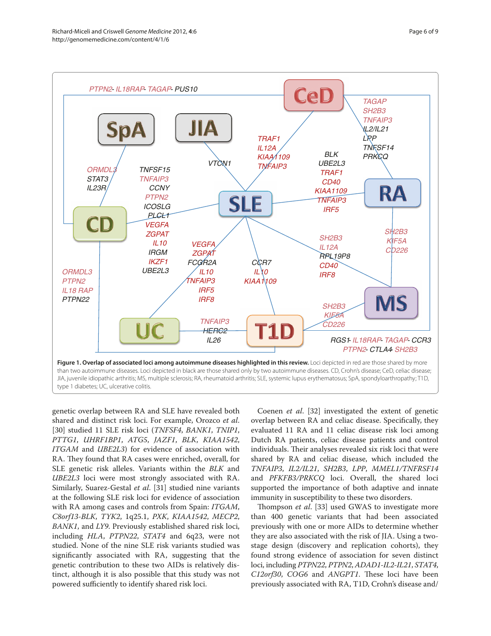

genetic overlap between RA and SLE have revealed both shared and distinct risk loci. For example, Orozco *et al*. [30] studied 11 SLE risk loci (*TNFSF4*, *BANK1*, *TNIP1*, *PTTG1*, *UHRF1BP1*, *ATG5*, *JAZF1*, *BLK*, *KIAA1542*, *ITGAM* and *UBE2L3*) for evidence of association with RA. They found that RA cases were enriched, overall, for SLE genetic risk alleles. Variants within the *BLK* and *UBE2L3* loci were most strongly associated with RA. Similarly, Suarez-Gestal *et al*. [31] studied nine variants at the following SLE risk loci for evidence of association with RA among cases and controls from Spain: *ITGAM*, *C8orf13-BLK*, *TYK2*, 1q25.1, *PXK*, *KIAA1542*, *MECP2*, *BANK1*, and *LY9*. Previously established shared risk loci, including *HLA*, *PTPN22*, *STAT4* and 6q23, were not studied. None of the nine SLE risk variants studied was significantly associated with RA, suggesting that the genetic contribution to these two AIDs is relatively distinct, although it is also possible that this study was not powered sufficiently to identify shared risk loci.

Coenen *et al*. [32] investigated the extent of genetic overlap between RA and celiac disease. Specifically, they evaluated 11 RA and 11 celiac disease risk loci among Dutch RA patients, celiac disease patients and control individuals. Their analyses revealed six risk loci that were shared by RA and celiac disease, which included the *TNFAIP3*, *IL2/IL21*, *SH2B3*, *LPP*, *MMEL1/TNFRSF14* and *PFKFB3/PRKCQ* loci. Overall, the shared loci supported the importance of both adaptive and innate immunity in susceptibility to these two disorders.

Thompson *et al.* [33] used GWAS to investigate more than 400 genetic variants that had been associated previously with one or more AIDs to determine whether they are also associated with the risk of JIA. Using a twostage design (discovery and replication cohorts), they found strong evidence of association for seven distinct loci, including *PTPN22*, *PTPN2*, *ADAD1-IL2-IL21*, *STAT4*, *C12orf30*, *COG6* and *ANGPT1*. These loci have been previously associated with RA, T1D, Crohn's disease and/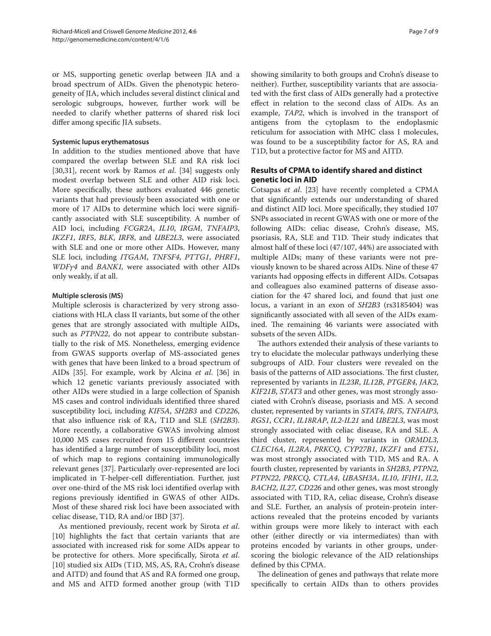or MS, supporting genetic overlap between JIA and a broad spectrum of AIDs. Given the phenotypic heterogeneity of JIA, which includes several distinct clinical and serologic subgroups, however, further work will be needed to clarify whether patterns of shared risk loci differ among specific JIA subsets.

#### **Systemic lupus erythematosus**

In addition to the studies mentioned above that have compared the overlap between SLE and RA risk loci [30,31], recent work by Ramos *et al*. [34] suggests only modest overlap between SLE and other AID risk loci. More specifically, these authors evaluated 446 genetic variants that had previously been associated with one or more of 17 AIDs to determine which loci were significantly associated with SLE susceptibility. A number of AID loci, including *FCGR2A*, *IL10*, *IRGM*, *TNFAIP3*, *IKZF1*, *IRF5*, *BLK*, *IRF8*, and *UBE2L3*, were associated with SLE and one or more other AIDs. However, many SLE loci, including *ITGAM*, *TNFSF4*, *PTTG1*, *PHRF1*, *WDFγ4* and *BANK1,* were associated with other AIDs only weakly, if at all.

#### **Multiple sclerosis (MS)**

Multiple sclerosis is characterized by very strong associations with HLA class II variants, but some of the other genes that are strongly associated with multiple AIDs, such as *PTPN22*, do not appear to contribute substantially to the risk of MS. Nonetheless, emerging evidence from GWAS supports overlap of MS-associated genes with genes that have been linked to a broad spectrum of AIDs [35]. For example, work by Alcina *et al*. [36] in which 12 genetic variants previously associated with other AIDs were studied in a large collection of Spanish MS cases and control individuals identified three shared susceptibility loci, including *KIF5A*, *SH2B3* and *CD226*, that also influence risk of RA, T1D and SLE (*SH2B3*). More recently, a collaborative GWAS involving almost 10,000 MS cases recruited from 15 different countries has identified a large number of susceptibility loci, most of which map to regions containing immunologically relevant genes [37]. Particularly over-represented are loci implicated in T-helper-cell differentiation. Further, just over one-third of the MS risk loci identified overlap with regions previously identified in GWAS of other AIDs. Most of these shared risk loci have been associated with celiac disease, T1D, RA and/or IBD [37].

As mentioned previously, recent work by Sirota *et al*. [10] highlights the fact that certain variants that are associated with increased risk for some AIDs appear to be protective for others. More specifically, Sirota *et al*. [10] studied six AIDs (T1D, MS, AS, RA, Crohn's disease and AITD) and found that AS and RA formed one group, and MS and AITD formed another group (with T1D showing similarity to both groups and Crohn's disease to neither). Further, susceptibility variants that are associated with the first class of AIDs generally had a protective effect in relation to the second class of AIDs. As an example, *TAP2*, which is involved in the transport of antigens from the cytoplasm to the endoplasmic reticulum for association with MHC class I molecules, was found to be a susceptibility factor for AS, RA and T1D, but a protective factor for MS and AITD.

#### **Results of CPMA to identify shared and distinct genetic loci in AID**

Cotsapas *et al*. [23] have recently completed a CPMA that significantly extends our understanding of shared and distinct AID loci. More specifically, they studied 107 SNPs associated in recent GWAS with one or more of the following AIDs: celiac disease, Crohn's disease, MS, psoriasis, RA, SLE and T1D. Their study indicates that almost half of these loci (47/107, 44%) are associated with multiple AIDs; many of these variants were not previously known to be shared across AIDs. Nine of these 47 variants had opposing effects in different AIDs. Cotsapas and colleagues also examined patterns of disease association for the 47 shared loci, and found that just one locus, a variant in an exon of *SH2B3* (rs3185404) was significantly associated with all seven of the AIDs examined. The remaining 46 variants were associated with subsets of the seven AIDs.

The authors extended their analysis of these variants to try to elucidate the molecular pathways underlying these subgroups of AID. Four clusters were revealed on the basis of the patterns of AID associations. The first cluster, represented by variants in *IL23R*, *IL12B*, *PTGER4*, *JAK2*, *KIF21B*, *STAT3* and other genes, was most strongly associated with Crohn's disease, psoriasis and MS. A second cluster, represented by variants in *STAT4*, *IRF5*, *TNFAIP3*, *RGS1*, *CCR1*, *IL18RAP*, *IL2-IL21* and *UBE2L3*, was most strongly associated with celiac disease, RA and SLE. A third cluster, represented by variants in *ORMDL3*, *CLEC16A*, *IL2RA*, *PRKCQ*, *CYP27B1*, *IKZF1* and *ETS1*, was most strongly associated with T1D, MS and RA. A fourth cluster, represented by variants in *SH2B3*, *PTPN2*, *PTPN22*, *PRKCQ*, *CTLA4*, *UBASH3A*, *IL10*, *IFIH1*, *IL2*, *BACH2*, *IL27*, *CD226* and other genes, was most strongly associated with T1D, RA, celiac disease, Crohn's disease and SLE. Further, an analysis of protein-protein interactions revealed that the proteins encoded by variants within groups were more likely to interact with each other (either directly or via intermediates) than with proteins encoded by variants in other groups, underscoring the biologic relevance of the AID relationships defined by this CPMA.

The delineation of genes and pathways that relate more specifically to certain AIDs than to others provides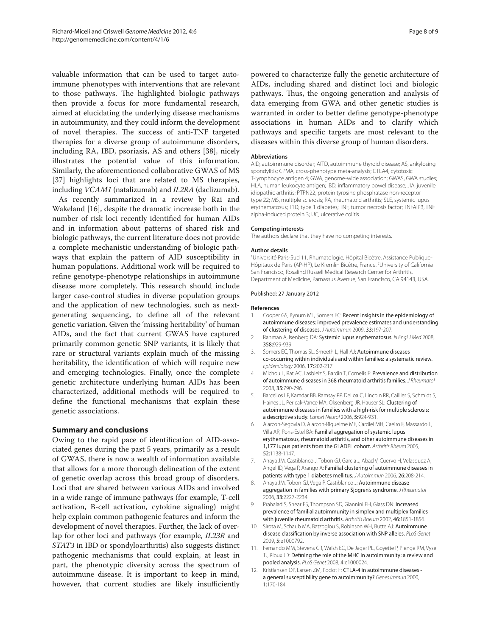valuable information that can be used to target autoimmune phenotypes with interventions that are relevant to those pathways. The highlighted biologic pathways then provide a focus for more fundamental research, aimed at elucidating the underlying disease mechanisms in autoimmunity, and they could inform the development of novel therapies. The success of anti-TNF targeted therapies for a diverse group of autoimmune disorders, including RA, IBD, psoriasis, AS and others [38], nicely illustrates the potential value of this information. Similarly, the aforementioned collaborative GWAS of MS [37] highlights loci that are related to MS therapies, including *VCAM1* (natalizumab) and *IL2RA* (daclizumab).

As recently summarized in a review by Rai and Wakeland [16], despite the dramatic increase both in the number of risk loci recently identified for human AIDs and in information about patterns of shared risk and biologic pathways, the current literature does not provide a complete mechanistic understanding of biologic pathways that explain the pattern of AID susceptibility in human populations. Additional work will be required to refine genotype-phenotype relationships in autoimmune disease more completely. This research should include larger case-control studies in diverse population groups and the application of new technologies, such as nextgenerating sequencing, to define all of the relevant genetic variation. Given the 'missing heritability' of human AIDs, and the fact that current GWAS have captured primarily common genetic SNP variants, it is likely that rare or structural variants explain much of the missing heritability, the identification of which will require new and emerging technologies. Finally, once the complete genetic architecture underlying human AIDs has been characterized, additional methods will be required to define the functional mechanisms that explain these genetic associations.

#### **Summary and conclusions**

Owing to the rapid pace of identification of AID-associated genes during the past 5 years, primarily as a result of GWAS, there is now a wealth of information available that allows for a more thorough delineation of the extent of genetic overlap across this broad group of disorders. Loci that are shared between various AIDs and involved in a wide range of immune pathways (for example, T-cell activation, B-cell activation, cytokine signaling) might help explain common pathogenic features and inform the development of novel therapies. Further, the lack of overlap for other loci and pathways (for example, *IL23R* and *STAT3* in IBD or spondyloarthritis) also suggests distinct pathogenic mechanisms that could explain, at least in part, the phenotypic diversity across the spectrum of autoimmune disease. It is important to keep in mind, however, that current studies are likely insufficiently powered to characterize fully the genetic architecture of AIDs, including shared and distinct loci and biologic pathways. Thus, the ongoing generation and analysis of data emerging from GWA and other genetic studies is warranted in order to better define genotype-phenotype associations in human AIDs and to clarify which pathways and specific targets are most relevant to the diseases within this diverse group of human disorders.

#### **Abbreviations**

AID, autoimmune disorder; AITD, autoimmune thyroid disease; AS, ankylosing spondylitis; CPMA, cross-phenotype meta-analysis; CTLA4, cytotoxic T-lymphocyte antigen 4; GWA, genome-wide association; GWAS, GWA studies; HLA, human leukocyte antigen; IBD, inflammatory bowel disease; JIA, juvenile idiopathic arthritis; PTPN22, protein tyrosine phosphatase non-receptor type 22; MS, multiple sclerosis; RA, rheumatoid arthritis; SLE, systemic lupus erythematosus; T1D, type 1 diabetes; TNF, tumor necrosis factor; TNFAIP3, TNF alpha-induced protein 3; UC, ulcerative colitis.

#### **Competing interests**

The authors declare that they have no competing interests.

#### **Author details**

1 Université Paris-Sud 11, Rhumatologie, Hôpital Bicêtre, Assistance Publique-Hôpitaux de Paris (AP-HP), Le Kremlin Bicêtre, France. 2 University of California San Francisco, Rosalind Russell Medical Research Center for Arthritis, Department of Medicine, Parnassus Avenue, San Francisco, CA 94143, USA.

#### Published: 27 January 2012

#### **References**

- 1. Cooper GS, Bynum ML, Somers EC: Recent insights in the epidemiology of autoimmune diseases: improved prevalence estimates and understanding of clustering of diseases. *J Autoimmun* 2009, 33:197-207.
- 2. Rahman A, Isenberg DA: Systemic lupus erythematosus. *N Engl J Med* 2008, 358:929-939.
- 3. Somers EC, Thomas SL, Smeeth L, Hall AJ: Autoimmune diseases co-occurring within individuals and within families: a systematic review. *Epidemiology* 2006, 17:202-217.
- 4. Michou L, Rat AC, Lasbleiz S, Bardin T, Cornelis F: Prevalence and distribution of autoimmune diseases in 368 rheumatoid arthritis families. *J Rheumatol*  2008, 35:790-796.
- 5. Barcellos LF, Kamdar BB, Ramsay PP, DeLoa C, Lincoln RR, Caillier S, Schmidt S, Haines JL, Pericak-Vance MA, Oksenberg JR, Hauser SL: Clustering of autoimmune diseases in families with a high-risk for multiple sclerosis: a descriptive study. *Lancet Neurol* 2006, 5:924-931.
- 6. Alarcon-Segovia D, Alarcon-Riquelme ME, Cardiel MH, Caeiro F, Massardo L, Villa AR, Pons-Estel BA: Familial aggregation of systemic lupus erythematosus, rheumatoid arthritis, and other autoimmune diseases in 1,177 lupus patients from the GLADEL cohort. *Arthritis Rheum* 2005, 52:1138-1147.
- 7. Anaya JM, Castiblanco J, Tobon GJ, Garcia J, Abad V, Cuervo H, Velasquez A, Angel ID, Vega P, Arango A: Familial clustering of autoimmune diseases in patients with type 1 diabetes mellitus. *J Autoimmun* 2006, 26:208-214.
- 8. Anaya JM, Tobon GJ, Vega P, Castiblanco J: Autoimmune disease aggregation in families with primary Sjogren's syndrome. *J Rheumatol*  2006, 33:2227-2234.
- Prahalad S, Shear ES, Thompson SD, Giannini EH, Glass DN: Increased prevalence of familial autoimmunity in simplex and multiplex families with juvenile rheumatoid arthritis. *Arthritis Rheum* 2002, 46:1851-1856.
- 10. Sirota M, Schaub MA, Batzoglou S, Robinson WH, Butte AJ: Autoimmune disease classification by inverse association with SNP alleles. *PLoS Genet*  2009, 5:e1000792.
- 11. Fernando MM, Stevens CR, Walsh EC, De Jager PL, Goyette P, Plenge RM, Vyse TJ, Rioux JD: Defining the role of the MHC in autoimmunity: a review and pooled analysis. *PLoS Genet* 2008, 4:e1000024.
- 12. Kristiansen OP, Larsen ZM, Pociot F: CTLA-4 in autoimmune diseases a general susceptibility gene to autoimmunity? *Genes Immun* 2000, 1:170-184.